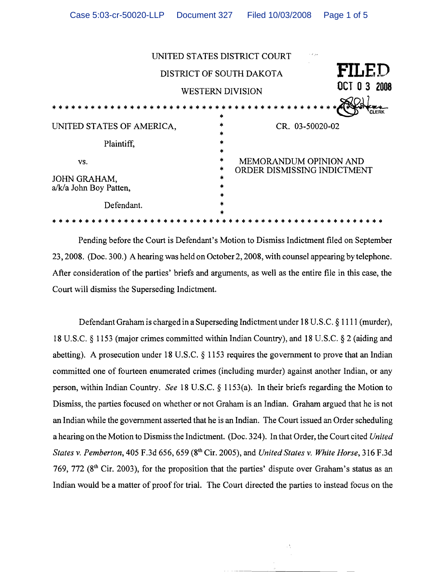|                                        |                  | UNITED STATES DISTRICT COURT<br>بريد                  |
|----------------------------------------|------------------|-------------------------------------------------------|
|                                        |                  | FILED<br>DISTRICT OF SOUTH DAKOTA                     |
|                                        |                  | OCT 0 3 2008<br><b>WESTERN DIVISION</b>               |
|                                        | *                |                                                       |
| UNITED STATES OF AMERICA,              | *                | CR. 03-50020-02                                       |
| Plaintiff,                             | *<br>*           |                                                       |
| VS.                                    | *<br>*           | MEMORANDUM OPINION AND<br>ORDER DISMISSING INDICTMENT |
| JOHN GRAHAM,<br>a/k/a John Boy Patten, | *<br>*<br>$\ast$ |                                                       |
| Defendant.                             |                  |                                                       |
|                                        |                  |                                                       |

Pending before the Court is Defendant's Motion to Dismiss Indictment filed on September 23,2008. (Doc. 300.) A hearing was held on October 2,2008, with counsel appearing by telephone. After consideration of the parties' briefs and arguments, as well as the entire file in this case, the Court will dismiss the Superseding Indictment.

Defendant Graham is charged in a Superseding Indictment under 18 U.S.C. § 1111 (murder), 18 U.S.C. § 1153 (major crimes committed within Indian Country), and 18 U.S.C. § 2 (aiding and abetting). A prosecution under 18 U.S.C.  $\S$  1153 requires the government to prove that an Indian committed one of fourteen enumerated crimes (including murder) against another Indian, or any person, within Indian Country. *See* 18 U.S.C. § 1153(a). In their briefs regarding the Motion to Dismiss, the parties focused on whether or not Graham is an Indian. Graham argued that he is not an Indian while the government asserted that he is an Indian. The Court issued an Order scheduling a hearing on the Motion to Dismiss the Indictment. (Doc. 324). In that Order, the Court cited *United States* v. *Pemberton,* 405 F.3d 656, 659 (8th Cir. 2005), and *United States* v. *White Horse,* 316 F.3d 769, 772 (8<sup>th</sup> Cir. 2003), for the proposition that the parties' dispute over Graham's status as an Indian would be a matter of proof for trial. The Court directed the parties to instead focus on the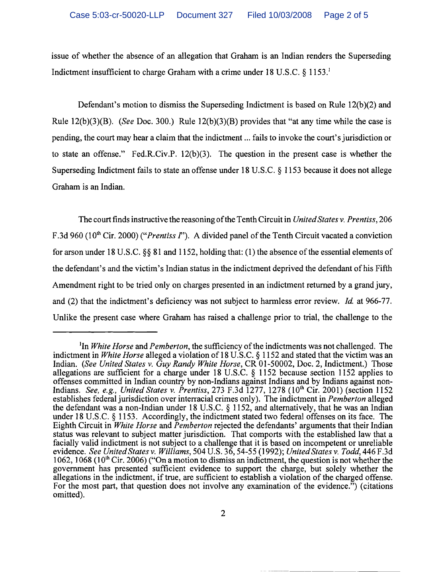issue of whether the absence of an allegation that Graham is an Indian renders the Superseding Indictment insufficient to charge Graham with a crime under 18 U.S.C.  $\S$  1153.

Defendant's motion to dismiss the Superseding Indictment is based on Rule 12(b)(2) and Rule 12(b)(3)(B). *(See* Doc. 300.) Rule 12(b)(3)(B) provides that "at any time while the case is pending, the court may hear a claim that the indictment ... fails to invoke the court's jurisdiction or to state an offense." Fed.R.Civ.P. 12(b)(3). The question in the present case is whether the Superseding Indictment fails to state an offense under 18 U.S.C. § 1153 because it does not allege Graham is an Indian.

The court finds instructive the reasoning of the Tenth Circuit in *United States v. Prentiss*, 206 F.3d 960 (10<sup>th</sup> Cir. 2000) *("Prentiss I"*). A divided panel of the Tenth Circuit vacated a conviction for arson under 18 U.S.C.  $\S$ § 81 and 1152, holding that: (1) the absence of the essential elements of the defendant's and the victim's Indian status in the indictment deprived the defendant of his Fifth Amendment right to be tried only on charges presented in an indictment returned by a grand jury, and (2) that the indictment's deficiency was not subject to harmless error review. *Id* at 966-77. Unlike the present case where Graham has raised a challenge prior to trial, the challenge to the

<sup>&</sup>lt;sup>1</sup>In *White Horse* and *Pemberton*, the sufficiency of the indictments was not challenged. The indictment in *White Horse* alleged a violation of 18 U.S.C. § 1152 and stated that the victim was an Indian. *(See United States* v. *Guy Randy White Horse,* CR 01-50002, Doc. 2, Indictment.) Those allegations are sufficient for a charge under 18 U.S.C. § 1152 because section 1152 applies to offenses committed in Indian country by non-Indians against Indians and by Indians against non-Indians. *See, e.g., United States* v. *Prentiss,* 273 F.3d 1277, 1278 (loth Cir. 2001) (section 1152 establishes federal jurisdiction over interracial crimes only). The indictment in *Pemberton* alleged the defendant was a non-Indian under 18 U.S.C. § 1152, and alternatively, that he was an Indian under 18 U.S.C. § 1153. Accordingly, the indictment stated two federal offenses on its face. The Eighth Circuit in *White Horse* and *Pemberton* rejected the defendants' arguments that their Indian status was relevant to subject matter jurisdiction. That comports with the established law that a facially valid indictment is not subject to a challenge that it is based on incompetent or unreliable evidence. *See United States* v. *Williams,* 504 U.S. 36, 54-55 (1992); *United States* v. *Todd,* 446 F.3d 1062, 1068 (10<sup>th</sup> Cir. 2006) ("On a motion to dismiss an indictment, the question is not whether the government has presented sufficient evidence to support the charge, but solely whether the allegations in the indictment, if true, are sufficient to establish a violation of the charged offense. For the most part, that question does not involve any examination of the evidence.<sup>35</sup>) (citations omitted).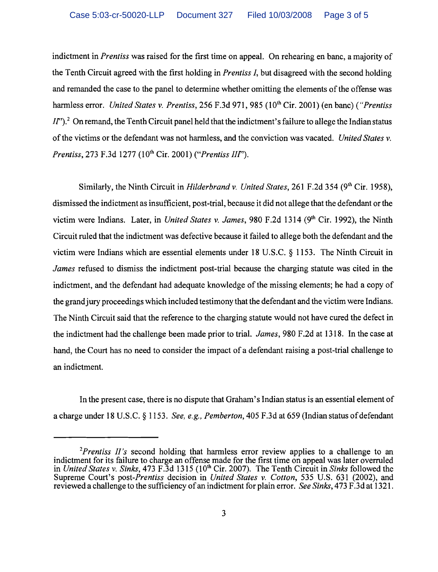indictment in *Prentiss* was raised for the first time on appeal. On rehearing en banc, a majority of the Tenth Circuit agreed with the first holding in *Prentiss I,* but disagreed with the second holding and remanded the case to the panel to determine whether omitting the elements of the offense was harmless error. *United States v. Prentiss*, 256 F.3d 971, 985 (10<sup>th</sup> Cir. 2001) (en banc) *("Prentiss II''*).<sup>2</sup> On remand, the Tenth Circuit panel held that the indictment's failure to allege the Indian status of the victims or the defendant was not harmless, and the conviction was vacated. *United States* v. *Prentiss, 273 F.3d 1277 (10<sup>th</sup> Cir. 2001) ("Prentiss III").* 

Similarly, the Ninth Circuit in *Hilderbrand v. United States*, 261 F.2d 354 (9<sup>th</sup> Cir. 1958), dismissed the indictment as insufficient, post-trial, because it did not allege that the defendant or the victim were Indians. Later, in *United States v. James*, 980 F.2d 1314 (9<sup>th</sup> Cir. 1992), the Ninth Circuit ruled that the indictment was defective because it failed to allege both the defendant and the victim were Indians which are essential elements under 18 U.S.C. § 1153. The Ninth Circuit in *James* refused to dismiss the indictment post-trial because the charging statute was cited in the indictment, and the defendant had adequate knowledge of the missing elements; he had a copy of the grand jury proceedings which included testimony that the defendant and the victim were Indians. The Ninth Circuit said that the reference to the charging statute would not have cured the defect in the indictment had the challenge been made prior to trial. *James,* 980 F.2d at 1318. In the case at hand, the Court has no need to consider the impact of a defendant raising a post-trial challenge to an indictment.

In the present case, there is no dispute that Graham's Indian status is an essential element of a charge under 18 U.S.C. § 1153. *See, e.g., Pemberton*, 405 F.3d at 659 (Indian status of defendant

*<sup>2</sup>Prentiss II's* second holding that harmless error review applies to a challenge to an indictment for its failure to charge an offense made for the first time on appeal was later overruled in *United States* v. *Sinks,* 473 F.3d 1315 (loth Cir. 2007). The Tenth Circuit in *Sinks* followed the Supreme Court's *post-Prentiss* decision in *United States* v. *Cotton,* 535 U.S. 631 (2002), and reviewed a challenge to the sufficiency of an indictment for plain error. *See Sinks*, 473 F.3d at 1321.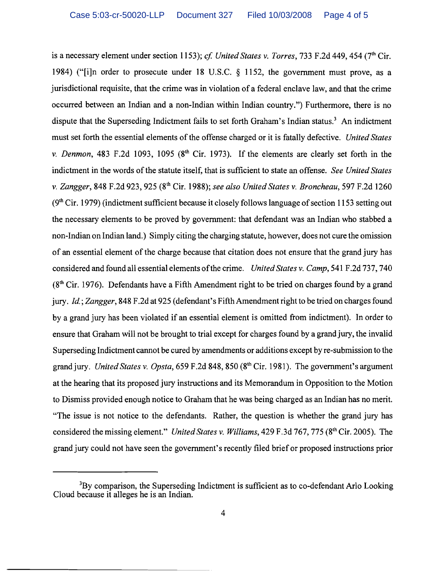is a necessary element under section 1153); *cf. United States v. Torres*, 733 F.2d 449, 454 (7<sup>th</sup> Cir. 1984) ("[i]n order to prosecute under 18 U.S.c. § 1152, the government must prove, as a jurisdictional requisite, that the crime was in violation of a federal enclave law, and that the crime occurred between an Indian and a non-Indian within Indian country.") Furthermore, there is no dispute that the Superseding Indictment fails to set forth Graham's Indian status.<sup>3</sup> An indictment must set forth the essential elements of the offense charged or it is fatally defective. *United States*  v. *Denmon,* 483 F.2d 1093, 1095 (8th Cir. 1973). If the elements are clearly set forth in the indictment in the words of the statute itself, that is sufficient to state an offense. *See United States* v. *Zangger,* 848 F.2d 923,925 (8th Cir. 1988); *see also United States* v. *Brancheau,* 597 F.2d 1260  $(9<sup>th</sup> Cir. 1979)$  (indictment sufficient because it closely follows language of section 1153 setting out the necessary elements to be proved by government: that defendant was an Indian who stabbed a non-Indian on Indian land.) Simply citing the charging statute, however, does not cure the omission of an essential element of the charge because that citation does not ensure that the grand jury has considered and found all essential elements ofthe crime. *United States* v. *Camp,* 541 F.2d 737, 740  $(8<sup>th</sup> Cir. 1976)$ . Defendants have a Fifth Amendment right to be tried on charges found by a grand jury. *Id.; Zangger,* 848 F.2d at 925 (defendant's Fifth Amendment right to be tried on charges found by a grand jury has been violated if an essential element is omitted from indictment). In order to ensure that Graham will not be brought to trial except for charges found by a grand jury, the invalid Superseding Indictment cannot be cured by amendments or additions except by re-submission to the grand jury. *United States* v. *Opsta,* 659 F.2d 848, 850 (8th Cir. 1981). The government's argument at the hearing that its proposed jury instructions and its Memorandum in Opposition to the Motion to Dismiss provided enough notice to Graham that he was being charged as an Indian has no merit. "The issue is not notice to the defendants. Rather, the question is whether the grand jury has considered the missing element." *United States* v. *Williams,* 429 F.3d 767, 775 (8th Cir. 2005). The grand jury could not have seen the government's recently filed brief or proposed instructions prior

<sup>&</sup>lt;sup>3</sup>By comparison, the Superseding Indictment is sufficient as to co-defendant Arlo Looking Cloud because it alleges he is an Indian.